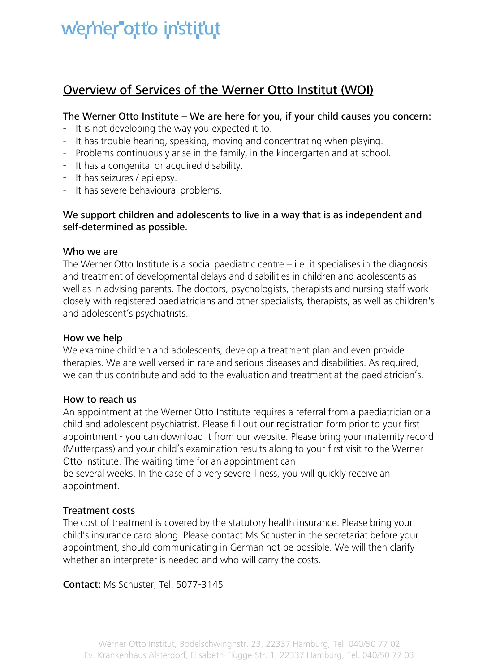# werner otto institut

### **Overview of Services of the Werner Otto Institut (WOI)**

#### **The Werner Otto Institute – We are here for you, if your child causes you concern:**

- It is not developing the way you expected it to.
- It has trouble hearing, speaking, moving and concentrating when playing.
- Problems continuously arise in the family, in the kindergarten and at school.
- It has a congenital or acquired disability.
- It has seizures / epilepsy.
- It has severe behavioural problems.

#### **We support children and adolescents to live in a way that is as independent and self-determined as possible.**

#### **Who we are**

The Werner Otto Institute is a social paediatric centre  $-$  i.e. it specialises in the diagnosis and treatment of developmental delays and disabilities in children and adolescents as well as in advising parents. The doctors, psychologists, therapists and nursing staff work closely with registered paediatricians and other specialists, therapists, as well as children's and adolescent's psychiatrists.

#### **How we help**

We examine children and adolescents, develop a treatment plan and even provide therapies. We are well versed in rare and serious diseases and disabilities. As required, we can thus contribute and add to the evaluation and treatment at the paediatrician's.

#### **How to reach us**

An appointment at the Werner Otto Institute requires a referral from a paediatrician or a child and adolescent psychiatrist. Please fill out our registration form prior to your first appointment - you can download it from our website. Please bring your maternity record (Mutterpass) and your child's examination results along to your first visit to the Werner Otto Institute. The waiting time for an appointment can

be several weeks. In the case of a very severe illness, you will quickly receive an appointment.

#### **Treatment costs**

The cost of treatment is covered by the statutory health insurance. Please bring your child's insurance card along. Please contact Ms Schuster in the secretariat before your appointment, should communicating in German not be possible. We will then clarify whether an interpreter is needed and who will carry the costs.

**Contact:** Ms Schuster, Tel. 5077-3145